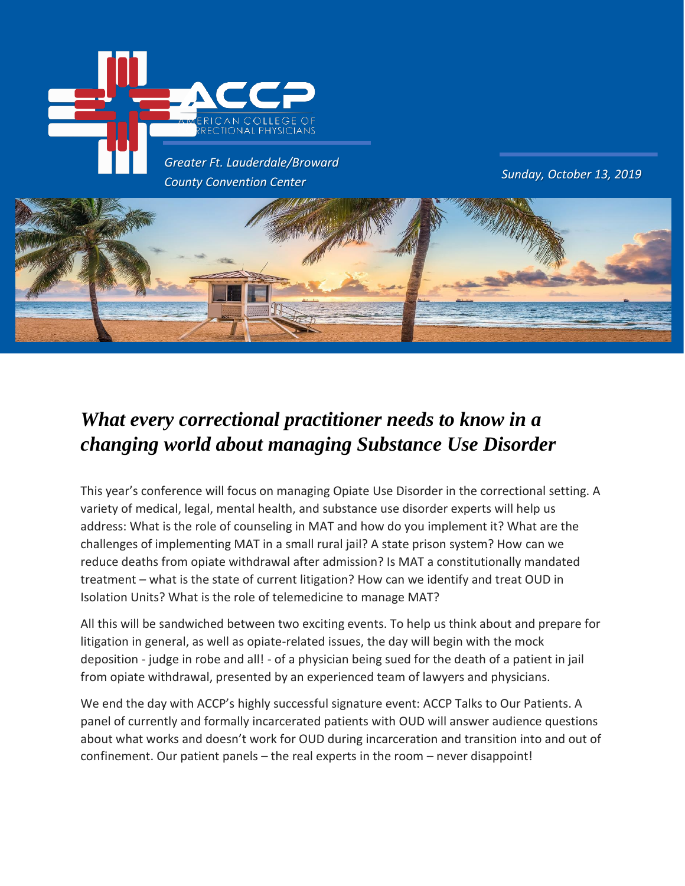

*County Convention Center Sunday, October 13, 2019*



## *What every correctional practitioner needs to know in a changing world about managing Substance Use Disorder*

This year's conference will focus on managing Opiate Use Disorder in the correctional setting. A variety of medical, legal, mental health, and substance use disorder experts will help us address: What is the role of counseling in MAT and how do you implement it? What are the challenges of implementing MAT in a small rural jail? A state prison system? How can we reduce deaths from opiate withdrawal after admission? Is MAT a constitutionally mandated treatment – what is the state of current litigation? How can we identify and treat OUD in Isolation Units? What is the role of telemedicine to manage MAT?

All this will be sandwiched between two exciting events. To help us think about and prepare for litigation in general, as well as opiate-related issues, the day will begin with the mock deposition - judge in robe and all! - of a physician being sued for the death of a patient in jail from opiate withdrawal, presented by an experienced team of lawyers and physicians.

We end the day with ACCP's highly successful signature event: ACCP Talks to Our Patients. A panel of currently and formally incarcerated patients with OUD will answer audience questions about what works and doesn't work for OUD during incarceration and transition into and out of confinement. Our patient panels – the real experts in the room – never disappoint!